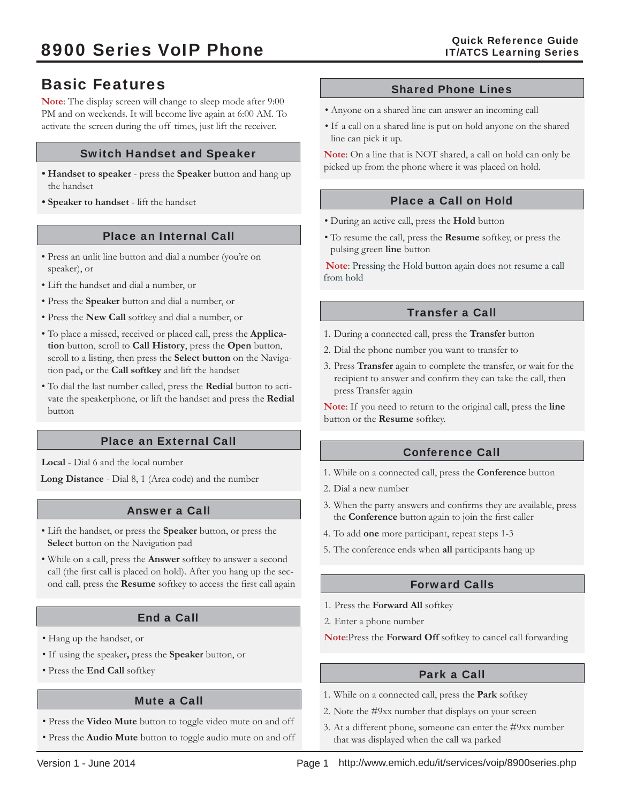# Basic Features

**Note**: The display screen will change to sleep mode after 9:00 PM and on weekends. It will become live again at 6:00 AM. To activate the screen during the off times, just lift the receiver.

# Switch Handset and Speaker

- the handset
- **Speaker to handset**  lift the handset

## Place an Internal Call

- Press an unlit line button and dial a number (you're on speaker), or
- Lift the handset and dial a number, or
- Press the **Speaker** button and dial a number, or
- Press the **New Call** softkey and dial a number, or
- To place a missed, received or placed call, press the **Application** button, scroll to **Call History**, press the **Open** button, scroll to a listing, then press the **Select button** on the Navigation pad**,** or the **Call softkey** and lift the handset
- To dial the last number called, press the **Redial** button to activate the speakerphone, or lift the handset and press the **Redial** button

# Place an External Call

**Local** - Dial 6 and the local number

**Long Distance** - Dial 8, 1 (Area code) and the number

# Answer a Call

- Lift the handset, or press the **Speaker** button, or press the **Select** button on the Navigation pad
- While on a call, press the **Answer** softkey to answer a second call (the first call is placed on hold). After you hang up the second call, press the Resume softkey to access the first call again

# End a Call

- Hang up the handset, or
- If using the speaker**,** press the **Speaker** button, or
- Press the **End Call** softkey

## Mute a Call

- Press the **Video Mute** button to toggle video mute on and off
- Press the **Audio Mute** button to toggle audio mute on and off

### Shared Phone Lines

- Anyone on a shared line can answer an incoming call
- If a call on a shared line is put on hold anyone on the shared line can pick it up.

**Note**: On a line that is NOT shared, a call on hold can only be • Handset to speaker - press the Speaker button and hang up picked up from the phone where it was placed on hold.

## Place a Call on Hold

- During an active call, press the **Hold** button
- To resume the call, press the **Resume** softkey, or press the pulsing green **line** button

**Note**: Pressing the Hold button again does not resume a call from hold

# Transfer a Call

- 1. During a connected call, press the **Transfer** button
- 2. Dial the phone number you want to transfer to
- 3. Press **Transfer** again to complete the transfer, or wait for the recipient to answer and confirm they can take the call, then press Transfer again

**Note**: If you need to return to the original call, press the **line**  button or the **Resume** softkey.

# Conference Call

- 1. While on a connected call, press the **Conference** button
- 2. Dial a new number
- 3. When the party answers and confirms they are available, press the **Conference** button again to join the first caller
- 4. To add **one** more participant, repeat steps 1-3
- 5. The conference ends when **all** participants hang up

## Forward Calls

- 1. Press the **Forward All** softkey
- 2. Enter a phone number

**Note**:Press the **Forward Off** softkey to cancel call forwarding

## Park a Call

- 1. While on a connected call, press the **Park** softkey
- 2. Note the #9xx number that displays on your screen
- 3. At a different phone, someone can enter the #9xx number that was displayed when the call wa parked